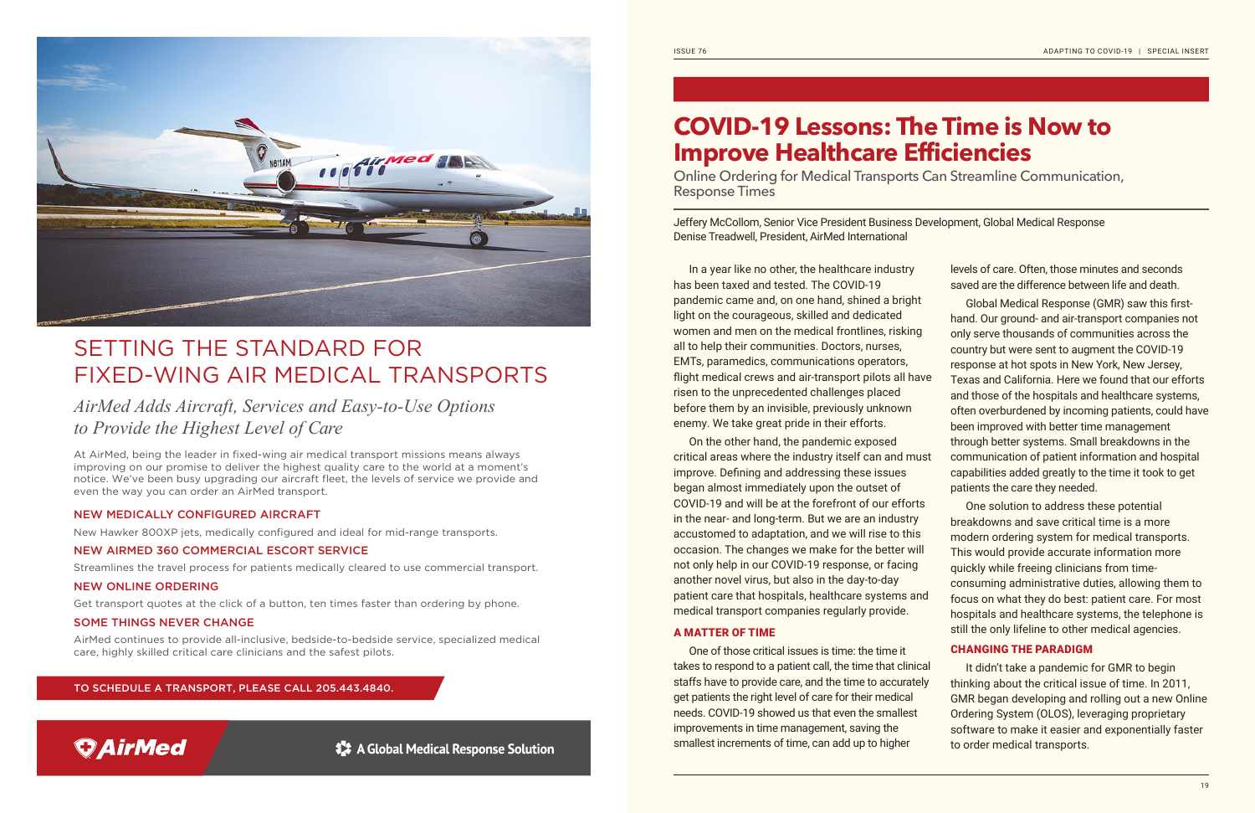

## SETTING THE STANDARD FOR FIXED-WING AIR MEDICAL TRANSPORTS

## *AirMed Adds Aircraft, Services and Easy-to-Use Options to Provide the Highest Level of Care*

At AirMed, being the leader in fixed-wing air medical transport missions means always improving on our promise to deliver the highest quality care to the world at a moment's notice. We've been busy upgrading our aircraft fleet, the levels of service we provide and even the way you can order an AirMed transport.

### NEW MEDICALLY CONFIGURED AIRCRAFT

New Hawker 800XP jets, medically configured and ideal for mid-range transports.

### NEW AIRMED 360 COMMERCIAL ESCORT SERVICE

Streamlines the travel process for patients medically cleared to use commercial transport.

### NEW ONLINE ORDERING

Get transport quotes at the click of a button, ten times faster than ordering by phone.

### SOME THINGS NEVER CHANGE

AirMed continues to provide all-inclusive, bedside-to-bedside service, specialized medical care, highly skilled critical care clinicians and the safest pilots.

TO SCHEDULE A TRANSPORT, PLEASE CALL 205.443.4840.



# **COVID-19 Lessons: The Time is Now to Improve Healthcare Efficiencies**

Online Ordering for Medical Transports Can Streamline Communication, Response Times

Jeffery McCollom, Senior Vice President Business Development, Global Medical Response Denise Treadwell, President, AirMed International

In a year like no other, the healthcare industry has been taxed and tested. The COVID-19 pandemic came and, on one hand, shined a bright light on the courageous, skilled and dedicated women and men on the medical frontlines, risking all to help their communities. Doctors, nurses, EMTs, paramedics, communications operators, flight medical crews and air-transport pilots all have risen to the unprecedented challenges placed before them by an invisible, previously unknown enemy. We take great pride in their efforts. On the other hand, the pandemic exposed critical areas where the industry itself can and must improve. Defining and addressing these issues began almost immediately upon the outset of COVID-19 and will be at the forefront of our efforts in the near- and long-term. But we are an industry accustomed to adaptation, and we will rise to this occasion. The changes we make for the better will not only help in our COVID-19 response, or facing another novel virus, but also in the day-to-day patient care that hospitals, healthcare systems and medical transport companies regularly provide. A MATTER OF TIME One of those critical issues is time: the time it takes to respond to a patient call, the time that clinical staffs have to provide care, and the time to accurately levels of care. Often, those minutes and seconds saved are the difference between life and death. Global Medical Response (GMR) saw this firsthand. Our ground- and air-transport companies not only serve thousands of communities across the country but were sent to augment the COVID-19 response at hot spots in New York, New Jersey, Texas and California. Here we found that our efforts and those of the hospitals and healthcare systems, often overburdened by incoming patients, could have been improved with better time management through better systems. Small breakdowns in the communication of patient information and hospital capabilities added greatly to the time it took to get patients the care they needed. One solution to address these potential breakdowns and save critical time is a more modern ordering system for medical transports. This would provide accurate information more quickly while freeing clinicians from timeconsuming administrative duties, allowing them to focus on what they do best: patient care. For most hospitals and healthcare systems, the telephone is still the only lifeline to other medical agencies. CHANGING THE PARADIGM It didn't take a pandemic for GMR to begin thinking about the critical issue of time. In 2011,

get patients the right level of care for their medical needs. COVID-19 showed us that even the smallest improvements in time management, saving the smallest increments of time, can add up to higher GMR began developing and rolling out a new Online Ordering System (OLOS), leveraging proprietary software to make it easier and exponentially faster to order medical transports.